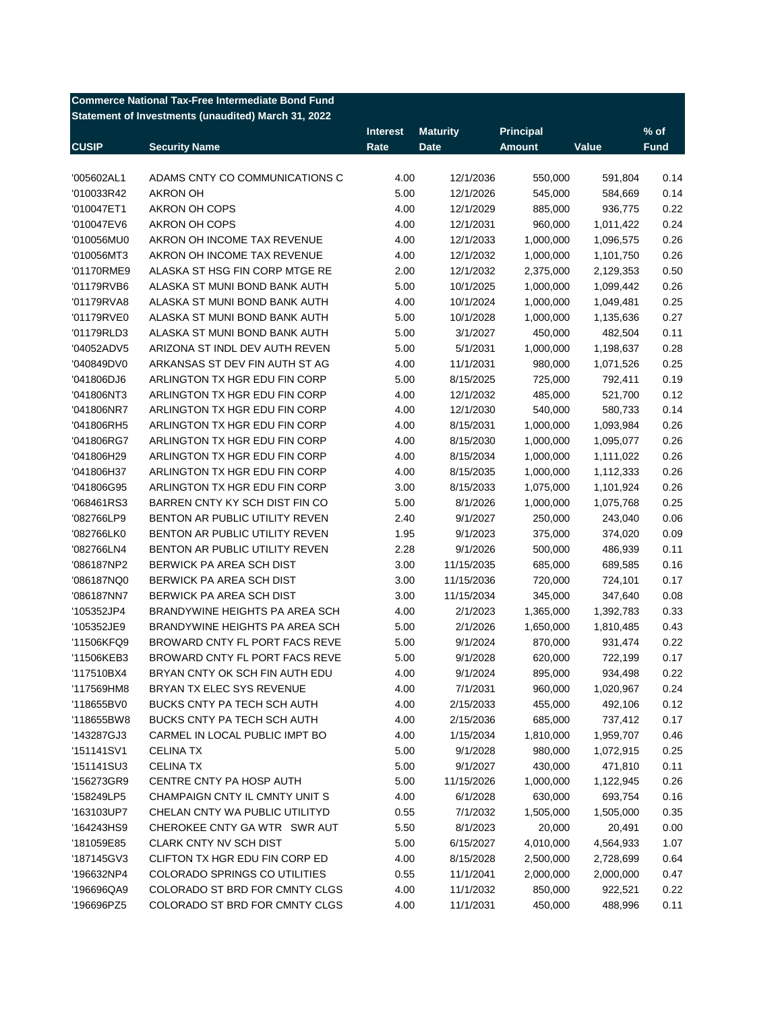| <b>Commerce National Tax-Free Intermediate Bond Fund</b> |                                                     |                 |                 |                  |           |             |  |  |
|----------------------------------------------------------|-----------------------------------------------------|-----------------|-----------------|------------------|-----------|-------------|--|--|
|                                                          | Statement of Investments (unaudited) March 31, 2022 |                 |                 |                  |           |             |  |  |
|                                                          |                                                     | <b>Interest</b> | <b>Maturity</b> | <b>Principal</b> |           | $%$ of      |  |  |
| <b>CUSIP</b>                                             | <b>Security Name</b>                                | Rate            | <b>Date</b>     | <b>Amount</b>    | Value     | <b>Fund</b> |  |  |
|                                                          |                                                     |                 |                 |                  |           |             |  |  |
| '005602AL1                                               | ADAMS CNTY CO COMMUNICATIONS C                      | 4.00            | 12/1/2036       | 550,000          | 591,804   | 0.14        |  |  |
| '010033R42                                               | <b>AKRON OH</b>                                     | 5.00            | 12/1/2026       | 545,000          | 584,669   | 0.14        |  |  |
| '010047ET1                                               | AKRON OH COPS                                       | 4.00            | 12/1/2029       | 885,000          | 936,775   | 0.22        |  |  |
| '010047EV6                                               | AKRON OH COPS                                       | 4.00            | 12/1/2031       | 960,000          | 1,011,422 | 0.24        |  |  |
| '010056MU0                                               | AKRON OH INCOME TAX REVENUE                         | 4.00            | 12/1/2033       | 1,000,000        | 1,096,575 | 0.26        |  |  |
| '010056MT3                                               | AKRON OH INCOME TAX REVENUE                         | 4.00            | 12/1/2032       | 1,000,000        | 1,101,750 | 0.26        |  |  |
| '01170RME9                                               | ALASKA ST HSG FIN CORP MTGE RE                      | 2.00            | 12/1/2032       | 2,375,000        | 2,129,353 | 0.50        |  |  |
| '01179RVB6                                               | ALASKA ST MUNI BOND BANK AUTH                       | 5.00            | 10/1/2025       | 1,000,000        | 1,099,442 | 0.26        |  |  |
| '01179RVA8                                               | ALASKA ST MUNI BOND BANK AUTH                       | 4.00            | 10/1/2024       | 1,000,000        | 1,049,481 | 0.25        |  |  |
| '01179RVE0                                               | ALASKA ST MUNI BOND BANK AUTH                       | 5.00            | 10/1/2028       | 1,000,000        | 1,135,636 | 0.27        |  |  |
| '01179RLD3                                               | ALASKA ST MUNI BOND BANK AUTH                       | 5.00            | 3/1/2027        | 450,000          | 482,504   | 0.11        |  |  |
| '04052ADV5                                               | ARIZONA ST INDL DEV AUTH REVEN                      | 5.00            | 5/1/2031        | 1,000,000        | 1,198,637 | 0.28        |  |  |
| '040849DV0                                               | ARKANSAS ST DEV FIN AUTH ST AG                      | 4.00            | 11/1/2031       | 980,000          | 1,071,526 | 0.25        |  |  |
| '041806DJ6                                               | ARLINGTON TX HGR EDU FIN CORP                       | 5.00            | 8/15/2025       | 725,000          | 792,411   | 0.19        |  |  |
| '041806NT3                                               | ARLINGTON TX HGR EDU FIN CORP                       | 4.00            | 12/1/2032       | 485,000          | 521,700   | 0.12        |  |  |
| '041806NR7                                               | ARLINGTON TX HGR EDU FIN CORP                       | 4.00            | 12/1/2030       | 540,000          | 580,733   | 0.14        |  |  |
| '041806RH5                                               | ARLINGTON TX HGR EDU FIN CORP                       | 4.00            | 8/15/2031       | 1,000,000        | 1,093,984 | 0.26        |  |  |
| '041806RG7                                               | ARLINGTON TX HGR EDU FIN CORP                       | 4.00            | 8/15/2030       | 1,000,000        | 1,095,077 | 0.26        |  |  |
| '041806H29                                               | ARLINGTON TX HGR EDU FIN CORP                       | 4.00            | 8/15/2034       | 1,000,000        | 1,111,022 | 0.26        |  |  |
| '041806H37                                               | ARLINGTON TX HGR EDU FIN CORP                       | 4.00            | 8/15/2035       | 1,000,000        | 1,112,333 | 0.26        |  |  |
| '041806G95                                               | ARLINGTON TX HGR EDU FIN CORP                       | 3.00            | 8/15/2033       | 1,075,000        | 1,101,924 | 0.26        |  |  |
| '068461RS3                                               | BARREN CNTY KY SCH DIST FIN CO                      | 5.00            | 8/1/2026        | 1,000,000        | 1,075,768 | 0.25        |  |  |
| '082766LP9                                               | BENTON AR PUBLIC UTILITY REVEN                      | 2.40            | 9/1/2027        | 250,000          | 243,040   | 0.06        |  |  |
| '082766LK0                                               | BENTON AR PUBLIC UTILITY REVEN                      | 1.95            | 9/1/2023        | 375,000          | 374,020   | 0.09        |  |  |
| '082766LN4                                               | BENTON AR PUBLIC UTILITY REVEN                      | 2.28            | 9/1/2026        | 500,000          | 486,939   | 0.11        |  |  |
| '086187NP2                                               | BERWICK PA AREA SCH DIST                            | 3.00            | 11/15/2035      | 685,000          | 689,585   | 0.16        |  |  |
| '086187NQ0                                               | BERWICK PA AREA SCH DIST                            | 3.00            | 11/15/2036      | 720,000          | 724,101   | 0.17        |  |  |
| '086187NN7                                               | BERWICK PA AREA SCH DIST                            | 3.00            | 11/15/2034      | 345,000          | 347,640   | 0.08        |  |  |
| '105352JP4                                               | BRANDYWINE HEIGHTS PA AREA SCH                      | 4.00            | 2/1/2023        | 1,365,000        | 1,392,783 | 0.33        |  |  |
| '105352JE9                                               | BRANDYWINE HEIGHTS PA AREA SCH                      | 5.00            | 2/1/2026        | 1,650,000        | 1,810,485 | 0.43        |  |  |
| '11506KFQ9                                               | BROWARD CNTY FL PORT FACS REVE                      | 5.00            | 9/1/2024        | 870,000          | 931,474   | 0.22        |  |  |
| '11506KEB3                                               | BROWARD CNTY FL PORT FACS REVE                      | 5.00            | 9/1/2028        | 620,000          | 722,199   | 0.17        |  |  |
| '117510BX4                                               | BRYAN CNTY OK SCH FIN AUTH EDU                      | 4.00            | 9/1/2024        | 895,000          | 934,498   | 0.22        |  |  |
| '117569HM8                                               | BRYAN TX ELEC SYS REVENUE                           | 4.00            | 7/1/2031        | 960,000          | 1,020,967 | 0.24        |  |  |
| '118655BV0                                               | BUCKS CNTY PA TECH SCH AUTH                         | 4.00            | 2/15/2033       | 455,000          | 492,106   | 0.12        |  |  |
| '118655BW8                                               | BUCKS CNTY PA TECH SCH AUTH                         | 4.00            | 2/15/2036       | 685,000          | 737,412   | 0.17        |  |  |
| '143287GJ3                                               | CARMEL IN LOCAL PUBLIC IMPT BO                      | 4.00            | 1/15/2034       | 1,810,000        | 1,959,707 | 0.46        |  |  |
|                                                          |                                                     |                 |                 |                  |           |             |  |  |
| '151141SV1                                               | <b>CELINA TX</b><br><b>CELINA TX</b>                | 5.00            | 9/1/2028        | 980,000          | 1,072,915 | 0.25        |  |  |
| '151141SU3                                               |                                                     | 5.00            | 9/1/2027        | 430,000          | 471,810   | 0.11        |  |  |
| '156273GR9                                               | CENTRE CNTY PA HOSP AUTH                            | 5.00            | 11/15/2026      | 1,000,000        | 1,122,945 | 0.26        |  |  |
| '158249LP5                                               | CHAMPAIGN CNTY IL CMNTY UNIT S                      | 4.00            | 6/1/2028        | 630,000          | 693,754   | 0.16        |  |  |
| '163103UP7                                               | CHELAN CNTY WA PUBLIC UTILITYD                      | 0.55            | 7/1/2032        | 1,505,000        | 1,505,000 | 0.35        |  |  |
| '164243HS9                                               | CHEROKEE CNTY GA WTR SWR AUT                        | 5.50            | 8/1/2023        | 20,000           | 20,491    | 0.00        |  |  |
| '181059E85                                               | <b>CLARK CNTY NV SCH DIST</b>                       | 5.00            | 6/15/2027       | 4,010,000        | 4,564,933 | 1.07        |  |  |
| '187145GV3                                               | CLIFTON TX HGR EDU FIN CORP ED                      | 4.00            | 8/15/2028       | 2,500,000        | 2,728,699 | 0.64        |  |  |
| '196632NP4                                               | COLORADO SPRINGS CO UTILITIES                       | 0.55            | 11/1/2041       | 2,000,000        | 2,000,000 | 0.47        |  |  |
| '196696QA9                                               | COLORADO ST BRD FOR CMNTY CLGS                      | 4.00            | 11/1/2032       | 850,000          | 922,521   | 0.22        |  |  |
| '196696PZ5                                               | COLORADO ST BRD FOR CMNTY CLGS                      | 4.00            | 11/1/2031       | 450,000          | 488,996   | 0.11        |  |  |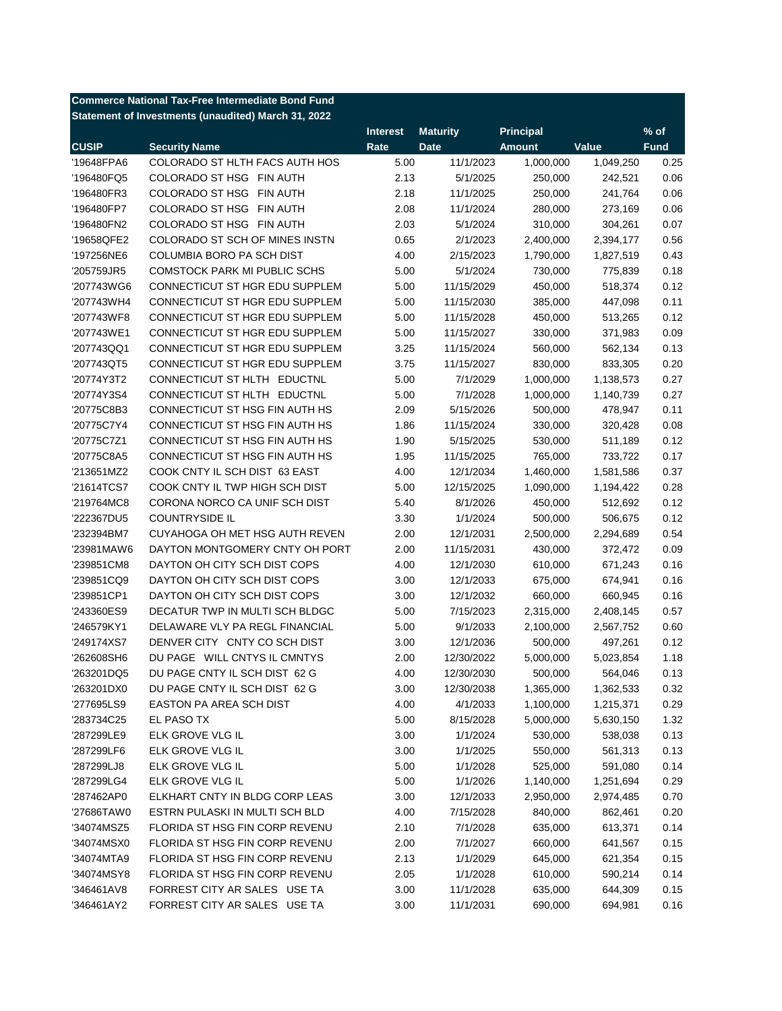| <b>Commerce National Tax-Free Intermediate Bond Fund</b> |                                                                |                 |                 |                  |           |             |  |
|----------------------------------------------------------|----------------------------------------------------------------|-----------------|-----------------|------------------|-----------|-------------|--|
|                                                          | Statement of Investments (unaudited) March 31, 2022            |                 |                 |                  |           |             |  |
|                                                          |                                                                | <b>Interest</b> | <b>Maturity</b> | <b>Principal</b> |           | $%$ of      |  |
| <b>CUSIP</b>                                             | <b>Security Name</b>                                           | Rate            | <b>Date</b>     | <b>Amount</b>    | Value     | <b>Fund</b> |  |
| '19648FPA6                                               | COLORADO ST HLTH FACS AUTH HOS                                 | 5.00            | 11/1/2023       | 1,000,000        | 1,049,250 | 0.25        |  |
| '196480FQ5                                               | COLORADO ST HSG FIN AUTH                                       | 2.13            | 5/1/2025        | 250,000          | 242,521   | 0.06        |  |
| '196480FR3                                               | COLORADO ST HSG FIN AUTH                                       | 2.18            | 11/1/2025       | 250,000          | 241,764   | 0.06        |  |
| '196480FP7                                               | COLORADO ST HSG FIN AUTH                                       | 2.08            | 11/1/2024       | 280,000          | 273,169   | 0.06        |  |
| '196480FN2                                               | COLORADO ST HSG FIN AUTH                                       | 2.03            | 5/1/2024        | 310,000          | 304,261   | 0.07        |  |
| '19658QFE2                                               | COLORADO ST SCH OF MINES INSTN                                 | 0.65            | 2/1/2023        | 2,400,000        | 2,394,177 | 0.56        |  |
| '197256NE6                                               | COLUMBIA BORO PA SCH DIST                                      | 4.00            | 2/15/2023       | 1,790,000        | 1,827,519 | 0.43        |  |
| '205759JR5                                               | <b>COMSTOCK PARK MI PUBLIC SCHS</b>                            | 5.00            | 5/1/2024        | 730,000          | 775,839   | 0.18        |  |
| '207743WG6                                               | CONNECTICUT ST HGR EDU SUPPLEM                                 | 5.00            | 11/15/2029      | 450,000          | 518,374   | 0.12        |  |
| '207743WH4                                               | CONNECTICUT ST HGR EDU SUPPLEM                                 | 5.00            | 11/15/2030      | 385,000          | 447,098   | 0.11        |  |
| '207743WF8                                               | CONNECTICUT ST HGR EDU SUPPLEM                                 | 5.00            | 11/15/2028      | 450,000          | 513,265   | 0.12        |  |
| '207743WE1                                               | CONNECTICUT ST HGR EDU SUPPLEM                                 | 5.00            | 11/15/2027      | 330,000          | 371,983   | 0.09        |  |
| '207743QQ1                                               | CONNECTICUT ST HGR EDU SUPPLEM                                 | 3.25            | 11/15/2024      | 560,000          | 562,134   | 0.13        |  |
| '207743QT5                                               | CONNECTICUT ST HGR EDU SUPPLEM                                 | 3.75            | 11/15/2027      | 830,000          | 833,305   | 0.20        |  |
| '20774Y3T2                                               | CONNECTICUT ST HLTH EDUCTNL                                    | 5.00            | 7/1/2029        | 1,000,000        | 1,138,573 | 0.27        |  |
| '20774Y3S4                                               | CONNECTICUT ST HLTH EDUCTNL                                    | 5.00            | 7/1/2028        | 1,000,000        | 1,140,739 | 0.27        |  |
| '20775C8B3                                               | CONNECTICUT ST HSG FIN AUTH HS                                 | 2.09            | 5/15/2026       | 500,000          | 478,947   | 0.11        |  |
| '20775C7Y4                                               | CONNECTICUT ST HSG FIN AUTH HS                                 | 1.86            | 11/15/2024      | 330,000          | 320,428   | 0.08        |  |
| '20775C7Z1                                               | CONNECTICUT ST HSG FIN AUTH HS                                 | 1.90            | 5/15/2025       | 530,000          | 511,189   | 0.12        |  |
| '20775C8A5                                               | CONNECTICUT ST HSG FIN AUTH HS                                 | 1.95            | 11/15/2025      | 765,000          | 733,722   | 0.17        |  |
| '213651MZ2                                               | COOK CNTY IL SCH DIST 63 EAST                                  | 4.00            | 12/1/2034       | 1,460,000        | 1,581,586 | 0.37        |  |
| '21614TCS7                                               | COOK CNTY IL TWP HIGH SCH DIST                                 | 5.00            | 12/15/2025      | 1,090,000        | 1,194,422 | 0.28        |  |
| '219764MC8                                               | CORONA NORCO CA UNIF SCH DIST                                  | 5.40            | 8/1/2026        | 450,000          | 512,692   | 0.12        |  |
| '222367DU5                                               | <b>COUNTRYSIDE IL</b>                                          | 3.30            | 1/1/2024        | 500,000          | 506,675   | 0.12        |  |
| '232394BM7                                               | CUYAHOGA OH MET HSG AUTH REVEN                                 | 2.00            | 12/1/2031       | 2,500,000        | 2,294,689 | 0.54        |  |
| '23981MAW6                                               | DAYTON MONTGOMERY CNTY OH PORT                                 | 2.00            | 11/15/2031      | 430,000          | 372,472   | 0.09        |  |
| '239851CM8                                               | DAYTON OH CITY SCH DIST COPS                                   | 4.00            | 12/1/2030       | 610,000          | 671,243   | 0.16        |  |
| '239851CQ9                                               | DAYTON OH CITY SCH DIST COPS                                   | 3.00            | 12/1/2033       | 675,000          | 674,941   | 0.16        |  |
| '239851CP1                                               | DAYTON OH CITY SCH DIST COPS                                   | 3.00            |                 |                  |           | 0.16        |  |
|                                                          |                                                                |                 | 12/1/2032       | 660,000          | 660,945   |             |  |
| '243360ES9                                               | DECATUR TWP IN MULTI SCH BLDGC                                 | 5.00            | 7/15/2023       | 2,315,000        | 2,408,145 | 0.57        |  |
| '246579KY1                                               | DELAWARE VLY PA REGL FINANCIAL<br>DENVER CITY CNTY CO SCH DIST | 5.00            | 9/1/2033        | 2,100,000        | 2,567,752 | 0.60        |  |
| '249174XS7                                               |                                                                | 3.00            | 12/1/2036       | 500,000          | 497,261   | 0.12        |  |
| '262608SH6                                               | DU PAGE WILL CNTYS IL CMNTYS                                   | 2.00            | 12/30/2022      | 5,000,000        | 5,023,854 | 1.18        |  |
| '263201DQ5<br>'263201DX0                                 | DU PAGE CNTY IL SCH DIST 62 G                                  | 4.00            | 12/30/2030      | 500,000          | 564,046   | 0.13        |  |
|                                                          | DU PAGE CNTY IL SCH DIST 62 G                                  | 3.00            | 12/30/2038      | 1,365,000        | 1,362,533 | 0.32        |  |
| '277695LS9                                               | EASTON PA AREA SCH DIST                                        | 4.00            | 4/1/2033        | 1,100,000        | 1,215,371 | 0.29        |  |
| '283734C25                                               | EL PASO TX                                                     | 5.00            | 8/15/2028       | 5,000,000        | 5,630,150 | 1.32        |  |
| '287299LE9                                               | ELK GROVE VLG IL                                               | 3.00            | 1/1/2024        | 530,000          | 538,038   | 0.13        |  |
| '287299LF6                                               | ELK GROVE VLG IL                                               | 3.00            | 1/1/2025        | 550,000          | 561,313   | 0.13        |  |
| '287299LJ8                                               | ELK GROVE VLG IL                                               | 5.00            | 1/1/2028        | 525,000          | 591,080   | 0.14        |  |
| '287299LG4                                               | ELK GROVE VLG IL                                               | 5.00            | 1/1/2026        | 1,140,000        | 1,251,694 | 0.29        |  |
| '287462AP0                                               | ELKHART CNTY IN BLDG CORP LEAS                                 | 3.00            | 12/1/2033       | 2,950,000        | 2,974,485 | 0.70        |  |
| '27686TAW0                                               | ESTRN PULASKI IN MULTI SCH BLD                                 | 4.00            | 7/15/2028       | 840,000          | 862,461   | 0.20        |  |
| '34074MSZ5                                               | FLORIDA ST HSG FIN CORP REVENU                                 | 2.10            | 7/1/2028        | 635,000          | 613,371   | 0.14        |  |
| '34074MSX0                                               | FLORIDA ST HSG FIN CORP REVENU                                 | 2.00            | 7/1/2027        | 660,000          | 641,567   | 0.15        |  |
| '34074MTA9                                               | FLORIDA ST HSG FIN CORP REVENU                                 | 2.13            | 1/1/2029        | 645,000          | 621,354   | 0.15        |  |
| '34074MSY8                                               | FLORIDA ST HSG FIN CORP REVENU                                 | 2.05            | 1/1/2028        | 610,000          | 590,214   | 0.14        |  |
| '346461AV8                                               | FORREST CITY AR SALES USE TA                                   | 3.00            | 11/1/2028       | 635,000          | 644,309   | 0.15        |  |
| '346461AY2                                               | FORREST CITY AR SALES USE TA                                   | 3.00            | 11/1/2031       | 690,000          | 694,981   | 0.16        |  |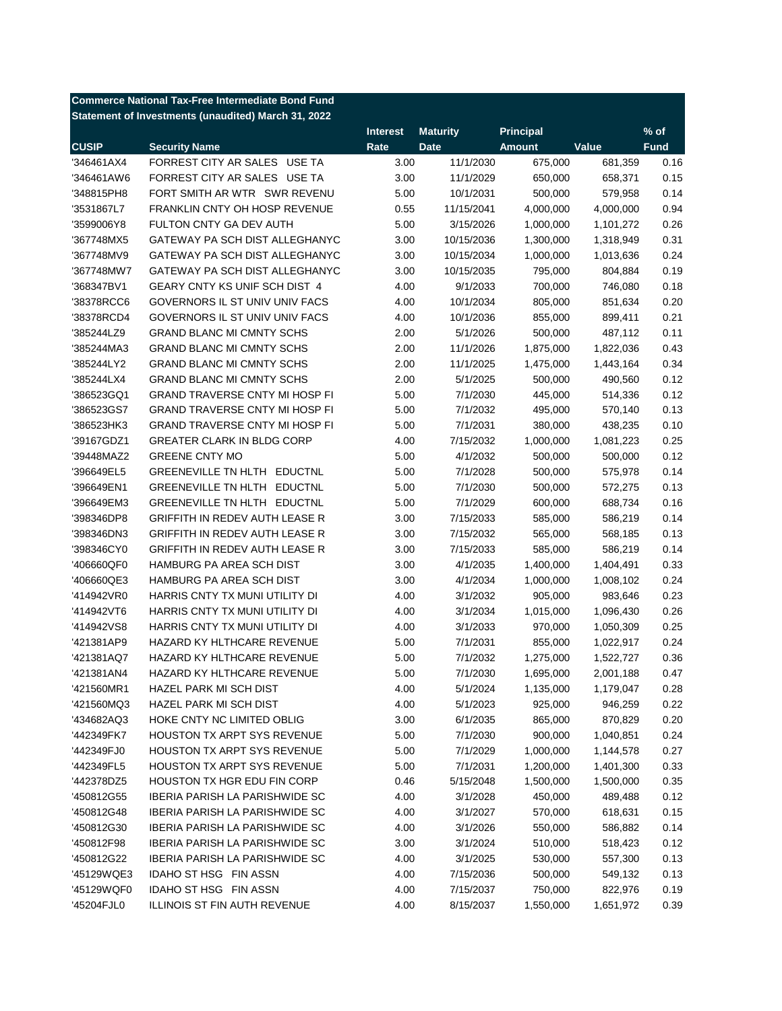| <b>Commerce National Tax-Free Intermediate Bond Fund</b> |                                                     |                 |                 |                  |           |             |  |  |
|----------------------------------------------------------|-----------------------------------------------------|-----------------|-----------------|------------------|-----------|-------------|--|--|
|                                                          | Statement of Investments (unaudited) March 31, 2022 |                 |                 |                  |           |             |  |  |
|                                                          |                                                     | <b>Interest</b> | <b>Maturity</b> | <b>Principal</b> |           | $%$ of      |  |  |
| <b>CUSIP</b>                                             | <b>Security Name</b>                                | Rate            | <b>Date</b>     | <b>Amount</b>    | Value     | <b>Fund</b> |  |  |
| '346461AX4                                               | FORREST CITY AR SALES USE TA                        | 3.00            | 11/1/2030       | 675,000          | 681,359   | 0.16        |  |  |
| '346461AW6                                               | FORREST CITY AR SALES USE TA                        | 3.00            | 11/1/2029       | 650,000          | 658,371   | 0.15        |  |  |
| '348815PH8                                               | FORT SMITH AR WTR SWR REVENU                        | 5.00            | 10/1/2031       | 500,000          | 579,958   | 0.14        |  |  |
| '3531867L7                                               | <b>FRANKLIN CNTY OH HOSP REVENUE</b>                | 0.55            | 11/15/2041      | 4,000,000        | 4,000,000 | 0.94        |  |  |
| '3599006Y8                                               | FULTON CNTY GA DEV AUTH                             | 5.00            | 3/15/2026       | 1,000,000        | 1,101,272 | 0.26        |  |  |
| '367748MX5                                               | GATEWAY PA SCH DIST ALLEGHANYC                      | 3.00            | 10/15/2036      | 1,300,000        | 1,318,949 | 0.31        |  |  |
| '367748MV9                                               | GATEWAY PA SCH DIST ALLEGHANYC                      | 3.00            | 10/15/2034      | 1,000,000        | 1,013,636 | 0.24        |  |  |
| '367748MW7                                               | GATEWAY PA SCH DIST ALLEGHANYC                      | 3.00            | 10/15/2035      | 795,000          | 804,884   | 0.19        |  |  |
| '368347BV1                                               | GEARY CNTY KS UNIF SCH DIST 4                       | 4.00            | 9/1/2033        | 700,000          | 746,080   | 0.18        |  |  |
| '38378RCC6                                               | GOVERNORS IL ST UNIV UNIV FACS                      | 4.00            | 10/1/2034       | 805,000          | 851,634   | 0.20        |  |  |
| '38378RCD4                                               | GOVERNORS IL ST UNIV UNIV FACS                      | 4.00            | 10/1/2036       | 855,000          | 899,411   | 0.21        |  |  |
| '385244LZ9                                               | <b>GRAND BLANC MI CMNTY SCHS</b>                    | 2.00            | 5/1/2026        | 500,000          | 487,112   | 0.11        |  |  |
| '385244MA3                                               | <b>GRAND BLANC MI CMNTY SCHS</b>                    | 2.00            | 11/1/2026       | 1,875,000        | 1,822,036 | 0.43        |  |  |
| '385244LY2                                               | <b>GRAND BLANC MI CMNTY SCHS</b>                    | 2.00            | 11/1/2025       | 1,475,000        | 1,443,164 | 0.34        |  |  |
| '385244LX4                                               | <b>GRAND BLANC MI CMNTY SCHS</b>                    | 2.00            | 5/1/2025        | 500,000          | 490,560   | 0.12        |  |  |
| '386523GQ1                                               | <b>GRAND TRAVERSE CNTY MI HOSP FI</b>               | 5.00            | 7/1/2030        | 445,000          | 514,336   | 0.12        |  |  |
| '386523GS7                                               | <b>GRAND TRAVERSE CNTY MI HOSP FI</b>               | 5.00            | 7/1/2032        | 495,000          | 570,140   | 0.13        |  |  |
| '386523HK3                                               | <b>GRAND TRAVERSE CNTY MI HOSP FI</b>               | 5.00            | 7/1/2031        | 380,000          | 438,235   | 0.10        |  |  |
| '39167GDZ1                                               | <b>GREATER CLARK IN BLDG CORP</b>                   | 4.00            | 7/15/2032       | 1,000,000        | 1,081,223 | 0.25        |  |  |
| '39448MAZ2                                               | <b>GREENE CNTY MO</b>                               | 5.00            | 4/1/2032        | 500,000          | 500,000   | 0.12        |  |  |
| '396649EL5                                               | GREENEVILLE TN HLTH EDUCTNL                         | 5.00            | 7/1/2028        | 500,000          | 575,978   | 0.14        |  |  |
| '396649EN1                                               | GREENEVILLE TN HLTH EDUCTNL                         | 5.00            | 7/1/2030        | 500,000          | 572,275   | 0.13        |  |  |
| '396649EM3                                               | GREENEVILLE TN HLTH EDUCTNL                         | 5.00            | 7/1/2029        | 600,000          | 688,734   | 0.16        |  |  |
| '398346DP8                                               | GRIFFITH IN REDEV AUTH LEASE R                      | 3.00            | 7/15/2033       | 585,000          | 586,219   | 0.14        |  |  |
| '398346DN3                                               | <b>GRIFFITH IN REDEV AUTH LEASE R</b>               | 3.00            | 7/15/2032       | 565,000          | 568,185   | 0.13        |  |  |
| '398346CY0                                               | <b>GRIFFITH IN REDEV AUTH LEASE R</b>               | 3.00            | 7/15/2033       | 585,000          | 586,219   | 0.14        |  |  |
| '406660QF0                                               | HAMBURG PA AREA SCH DIST                            | 3.00            | 4/1/2035        | 1,400,000        | 1,404,491 | 0.33        |  |  |
| '406660QE3                                               | HAMBURG PA AREA SCH DIST                            | 3.00            | 4/1/2034        | 1,000,000        | 1,008,102 | 0.24        |  |  |
| '414942VR0                                               | HARRIS CNTY TX MUNI UTILITY DI                      | 4.00            | 3/1/2032        | 905,000          | 983,646   | 0.23        |  |  |
| '414942VT6                                               | HARRIS CNTY TX MUNI UTILITY DI                      | 4.00            | 3/1/2034        | 1,015,000        | 1,096,430 | 0.26        |  |  |
| '414942VS8                                               | HARRIS CNTY TX MUNI UTILITY DI                      | 4.00            | 3/1/2033        | 970,000          | 1,050,309 | 0.25        |  |  |
| '421381AP9                                               | HAZARD KY HLTHCARE REVENUE                          | 5.00            | 7/1/2031        | 855,000          | 1,022,917 | 0.24        |  |  |
| '421381AQ7                                               | HAZARD KY HLTHCARE REVENUE                          | 5.00            | 7/1/2032        | 1,275,000        | 1,522,727 | 0.36        |  |  |
| '421381AN4                                               | HAZARD KY HLTHCARE REVENUE                          | 5.00            | 7/1/2030        | 1,695,000        | 2,001,188 | 0.47        |  |  |
| '421560MR1                                               | HAZEL PARK MI SCH DIST                              | 4.00            | 5/1/2024        | 1,135,000        | 1,179,047 | 0.28        |  |  |
| '421560MQ3                                               | HAZEL PARK MI SCH DIST                              | 4.00            | 5/1/2023        | 925,000          | 946,259   | 0.22        |  |  |
| '434682AQ3                                               | HOKE CNTY NC LIMITED OBLIG                          | 3.00            | 6/1/2035        | 865,000          | 870,829   | 0.20        |  |  |
| '442349FK7                                               | HOUSTON TX ARPT SYS REVENUE                         | 5.00            | 7/1/2030        | 900,000          | 1,040,851 | 0.24        |  |  |
| '442349FJ0                                               | <b>HOUSTON TX ARPT SYS REVENUE</b>                  |                 |                 | 1,000,000        | 1,144,578 |             |  |  |
|                                                          | HOUSTON TX ARPT SYS REVENUE                         | 5.00            | 7/1/2029        | 1,200,000        |           | 0.27        |  |  |
| '442349FL5                                               | HOUSTON TX HGR EDU FIN CORP                         | 5.00            | 7/1/2031        |                  | 1,401,300 | 0.33        |  |  |
| '442378DZ5                                               |                                                     | 0.46            | 5/15/2048       | 1,500,000        | 1,500,000 | 0.35        |  |  |
| '450812G55                                               | <b>IBERIA PARISH LA PARISHWIDE SC</b>               | 4.00            | 3/1/2028        | 450,000          | 489,488   | 0.12        |  |  |
| '450812G48                                               | IBERIA PARISH LA PARISHWIDE SC                      | 4.00            | 3/1/2027        | 570,000          | 618,631   | 0.15        |  |  |
| '450812G30                                               | IBERIA PARISH LA PARISHWIDE SC                      | 4.00            | 3/1/2026        | 550,000          | 586,882   | 0.14        |  |  |
| '450812F98                                               | IBERIA PARISH LA PARISHWIDE SC                      | 3.00            | 3/1/2024        | 510,000          | 518,423   | 0.12        |  |  |
| '450812G22                                               | IBERIA PARISH LA PARISHWIDE SC                      | 4.00            | 3/1/2025        | 530,000          | 557,300   | 0.13        |  |  |
| '45129WQE3                                               | IDAHO ST HSG FIN ASSN                               | 4.00            | 7/15/2036       | 500,000          | 549,132   | 0.13        |  |  |
| '45129WQF0                                               | IDAHO ST HSG FIN ASSN                               | 4.00            | 7/15/2037       | 750,000          | 822,976   | 0.19        |  |  |
| '45204FJL0                                               | ILLINOIS ST FIN AUTH REVENUE                        | 4.00            | 8/15/2037       | 1,550,000        | 1,651,972 | 0.39        |  |  |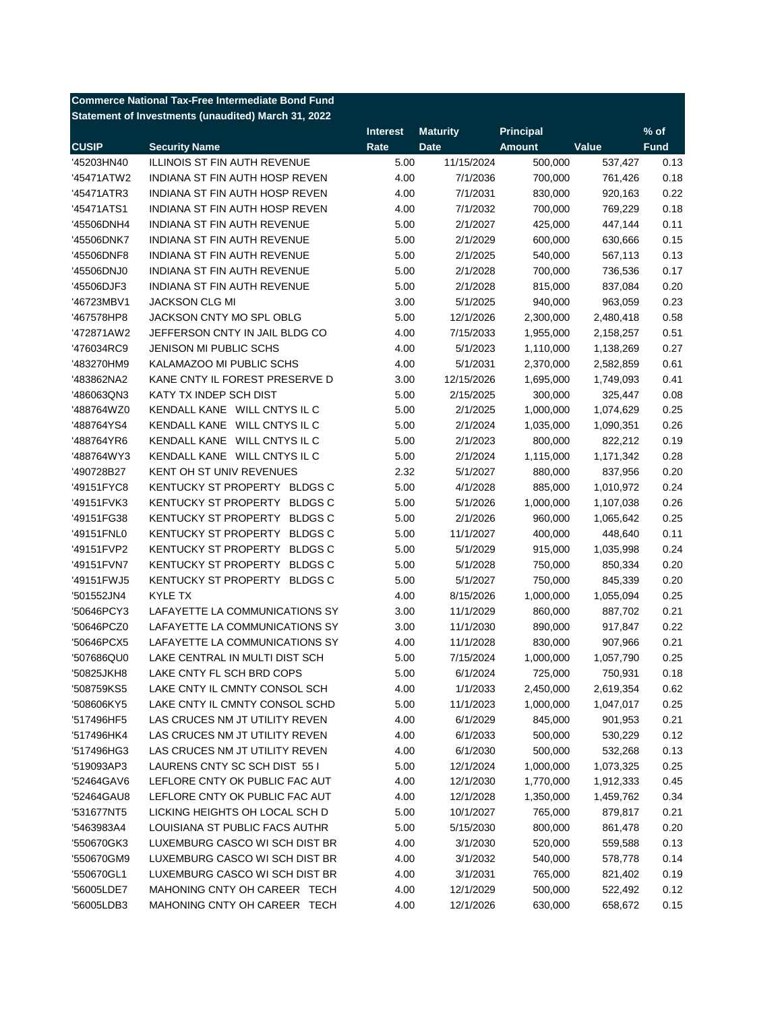| <b>Commerce National Tax-Free Intermediate Bond Fund</b> |                                                     |                 |                 |                  |           |             |  |
|----------------------------------------------------------|-----------------------------------------------------|-----------------|-----------------|------------------|-----------|-------------|--|
|                                                          | Statement of Investments (unaudited) March 31, 2022 |                 |                 |                  |           |             |  |
|                                                          |                                                     | <b>Interest</b> | <b>Maturity</b> | <b>Principal</b> |           | $%$ of      |  |
| <b>CUSIP</b>                                             | <b>Security Name</b>                                | Rate            | <b>Date</b>     | <b>Amount</b>    | Value     | <b>Fund</b> |  |
| '45203HN40                                               | <b>ILLINOIS ST FIN AUTH REVENUE</b>                 | 5.00            | 11/15/2024      | 500,000          | 537,427   | 0.13        |  |
| '45471ATW2                                               | INDIANA ST FIN AUTH HOSP REVEN                      | 4.00            | 7/1/2036        | 700,000          | 761,426   | 0.18        |  |
| '45471ATR3                                               | INDIANA ST FIN AUTH HOSP REVEN                      | 4.00            | 7/1/2031        | 830,000          | 920,163   | 0.22        |  |
| '45471ATS1                                               | INDIANA ST FIN AUTH HOSP REVEN                      | 4.00            | 7/1/2032        | 700,000          | 769,229   | 0.18        |  |
| '45506DNH4                                               | <b>INDIANA ST FIN AUTH REVENUE</b>                  | 5.00            | 2/1/2027        | 425,000          | 447,144   | 0.11        |  |
| '45506DNK7                                               | INDIANA ST FIN AUTH REVENUE                         | 5.00            | 2/1/2029        | 600,000          | 630,666   | 0.15        |  |
| '45506DNF8                                               | INDIANA ST FIN AUTH REVENUE                         | 5.00            | 2/1/2025        | 540,000          | 567,113   | 0.13        |  |
| '45506DNJ0                                               | INDIANA ST FIN AUTH REVENUE                         | 5.00            | 2/1/2028        | 700,000          | 736,536   | 0.17        |  |
| '45506DJF3                                               | INDIANA ST FIN AUTH REVENUE                         | 5.00            | 2/1/2028        | 815,000          | 837,084   | 0.20        |  |
| '46723MBV1                                               | <b>JACKSON CLG MI</b>                               | 3.00            | 5/1/2025        | 940,000          | 963,059   | 0.23        |  |
| '467578HP8                                               | JACKSON CNTY MO SPL OBLG                            | 5.00            | 12/1/2026       | 2,300,000        | 2,480,418 | 0.58        |  |
| '472871AW2                                               | JEFFERSON CNTY IN JAIL BLDG CO                      | 4.00            | 7/15/2033       | 1,955,000        | 2,158,257 | 0.51        |  |
| '476034RC9                                               | JENISON MI PUBLIC SCHS                              | 4.00            | 5/1/2023        | 1,110,000        | 1,138,269 | 0.27        |  |
| '483270HM9                                               | KALAMAZOO MI PUBLIC SCHS                            | 4.00            | 5/1/2031        | 2,370,000        | 2,582,859 | 0.61        |  |
| '483862NA2                                               | KANE CNTY IL FOREST PRESERVE D                      | 3.00            | 12/15/2026      | 1,695,000        | 1,749,093 | 0.41        |  |
| '486063QN3                                               | KATY TX INDEP SCH DIST                              | 5.00            | 2/15/2025       | 300,000          | 325,447   | 0.08        |  |
| '488764WZ0                                               | KENDALL KANE WILL CNTYS IL C                        | 5.00            | 2/1/2025        | 1,000,000        | 1,074,629 | 0.25        |  |
| '488764YS4                                               | KENDALL KANE WILL CNTYS IL C                        | 5.00            | 2/1/2024        | 1,035,000        | 1,090,351 | 0.26        |  |
| '488764YR6                                               | KENDALL KANE WILL CNTYS IL C                        | 5.00            | 2/1/2023        | 800,000          | 822,212   | 0.19        |  |
| '488764WY3                                               | KENDALL KANE WILL CNTYS IL C                        | 5.00            | 2/1/2024        | 1,115,000        | 1,171,342 | 0.28        |  |
| '490728B27                                               | KENT OH ST UNIV REVENUES                            | 2.32            | 5/1/2027        | 880,000          | 837,956   | 0.20        |  |
| '49151FYC8                                               | KENTUCKY ST PROPERTY BLDGS C                        | 5.00            | 4/1/2028        | 885,000          | 1,010,972 | 0.24        |  |
| '49151FVK3                                               | KENTUCKY ST PROPERTY BLDGS C                        | 5.00            | 5/1/2026        | 1,000,000        | 1,107,038 | 0.26        |  |
| '49151FG38                                               | KENTUCKY ST PROPERTY<br><b>BLDGS C</b>              | 5.00            | 2/1/2026        | 960,000          | 1,065,642 | 0.25        |  |
| '49151FNL0                                               | KENTUCKY ST PROPERTY<br><b>BLDGS C</b>              | 5.00            | 11/1/2027       | 400,000          | 448,640   | 0.11        |  |
| '49151FVP2                                               | KENTUCKY ST PROPERTY<br><b>BLDGS C</b>              | 5.00            | 5/1/2029        | 915,000          | 1,035,998 | 0.24        |  |
| '49151FVN7                                               | KENTUCKY ST PROPERTY<br><b>BLDGS C</b>              | 5.00            | 5/1/2028        | 750,000          | 850,334   | 0.20        |  |
| '49151FWJ5                                               | KENTUCKY ST PROPERTY<br><b>BLDGS C</b>              | 5.00            | 5/1/2027        | 750,000          | 845,339   | 0.20        |  |
| '501552JN4                                               | KYLE TX                                             | 4.00            | 8/15/2026       | 1,000,000        | 1,055,094 | 0.25        |  |
| '50646PCY3                                               | LAFAYETTE LA COMMUNICATIONS SY                      | 3.00            | 11/1/2029       | 860,000          | 887,702   | 0.21        |  |
| '50646PCZ0                                               | LAFAYETTE LA COMMUNICATIONS SY                      | 3.00            | 11/1/2030       | 890,000          | 917,847   | 0.22        |  |
| '50646PCX5                                               | LAFAYETTE LA COMMUNICATIONS SY                      | 4.00            | 11/1/2028       | 830,000          | 907,966   | 0.21        |  |
| '507686QU0                                               | LAKE CENTRAL IN MULTI DIST SCH                      | 5.00            | 7/15/2024       | 1,000,000        | 1,057,790 | 0.25        |  |
| '50825JKH8                                               | LAKE CNTY FL SCH BRD COPS                           | 5.00            | 6/1/2024        | 725,000          | 750,931   | 0.18        |  |
| '508759KS5                                               | LAKE CNTY IL CMNTY CONSOL SCH                       | 4.00            | 1/1/2033        | 2,450,000        | 2,619,354 | 0.62        |  |
| '508606KY5                                               | LAKE CNTY IL CMNTY CONSOL SCHD                      | 5.00            | 11/1/2023       | 1,000,000        | 1,047,017 | 0.25        |  |
| '517496HF5                                               | LAS CRUCES NM JT UTILITY REVEN                      | 4.00            | 6/1/2029        | 845,000          | 901,953   | 0.21        |  |
| '517496HK4                                               | LAS CRUCES NM JT UTILITY REVEN                      | 4.00            | 6/1/2033        | 500,000          | 530,229   | 0.12        |  |
|                                                          | LAS CRUCES NM JT UTILITY REVEN                      | 4.00            | 6/1/2030        | 500,000          | 532,268   |             |  |
| '517496HG3                                               | LAURENS CNTY SC SCH DIST 55 I                       |                 |                 |                  |           | 0.13        |  |
| '519093AP3                                               |                                                     | 5.00            | 12/1/2024       | 1,000,000        | 1,073,325 | 0.25        |  |
| '52464GAV6                                               | LEFLORE CNTY OK PUBLIC FAC AUT                      | 4.00            | 12/1/2030       | 1,770,000        | 1,912,333 | 0.45        |  |
| '52464GAU8                                               | LEFLORE CNTY OK PUBLIC FAC AUT                      | 4.00            | 12/1/2028       | 1,350,000        | 1,459,762 | 0.34        |  |
| '531677NT5                                               | LICKING HEIGHTS OH LOCAL SCH D                      | 5.00            | 10/1/2027       | 765,000          | 879,817   | 0.21        |  |
| '5463983A4                                               | LOUISIANA ST PUBLIC FACS AUTHR                      | 5.00            | 5/15/2030       | 800,000          | 861,478   | 0.20        |  |
| '550670GK3                                               | LUXEMBURG CASCO WI SCH DIST BR                      | 4.00            | 3/1/2030        | 520,000          | 559,588   | 0.13        |  |
| '550670GM9                                               | LUXEMBURG CASCO WI SCH DIST BR                      | 4.00            | 3/1/2032        | 540,000          | 578,778   | 0.14        |  |
| '550670GL1                                               | LUXEMBURG CASCO WI SCH DIST BR                      | 4.00            | 3/1/2031        | 765,000          | 821,402   | 0.19        |  |
| '56005LDE7                                               | MAHONING CNTY OH CAREER TECH                        | 4.00            | 12/1/2029       | 500,000          | 522,492   | 0.12        |  |
| '56005LDB3                                               | MAHONING CNTY OH CAREER TECH                        | 4.00            | 12/1/2026       | 630,000          | 658,672   | 0.15        |  |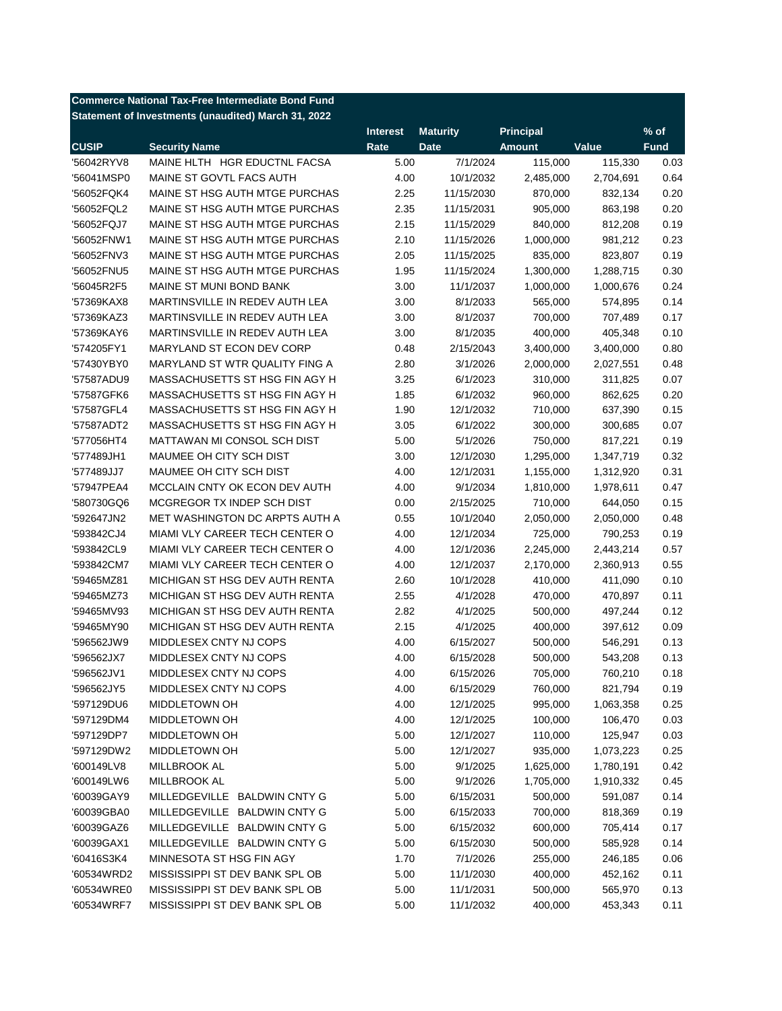| <b>Commerce National Tax-Free Intermediate Bond Fund</b> |                                                     |                 |                        |                    |           |             |  |  |
|----------------------------------------------------------|-----------------------------------------------------|-----------------|------------------------|--------------------|-----------|-------------|--|--|
|                                                          | Statement of Investments (unaudited) March 31, 2022 |                 |                        |                    |           |             |  |  |
|                                                          |                                                     | <b>Interest</b> | <b>Maturity</b>        | <b>Principal</b>   |           | $%$ of      |  |  |
| <b>CUSIP</b>                                             | <b>Security Name</b>                                | Rate            | <b>Date</b>            | <b>Amount</b>      | Value     | <b>Fund</b> |  |  |
| '56042RYV8                                               | MAINE HLTH HGR EDUCTNL FACSA                        | 5.00            | 7/1/2024               | 115,000            | 115,330   | 0.03        |  |  |
| '56041MSP0                                               | MAINE ST GOVTL FACS AUTH                            | 4.00            | 10/1/2032              | 2,485,000          | 2,704,691 | 0.64        |  |  |
| '56052FQK4                                               | MAINE ST HSG AUTH MTGE PURCHAS                      | 2.25            | 11/15/2030             | 870,000            | 832,134   | 0.20        |  |  |
| '56052FQL2                                               | MAINE ST HSG AUTH MTGE PURCHAS                      | 2.35            | 11/15/2031             | 905,000            | 863,198   | 0.20        |  |  |
| '56052FQJ7                                               | MAINE ST HSG AUTH MTGE PURCHAS                      | 2.15            | 11/15/2029             | 840,000            | 812,208   | 0.19        |  |  |
| '56052FNW1                                               | MAINE ST HSG AUTH MTGE PURCHAS                      | 2.10            | 11/15/2026             | 1,000,000          | 981,212   | 0.23        |  |  |
| '56052FNV3                                               | MAINE ST HSG AUTH MTGE PURCHAS                      | 2.05            | 11/15/2025             | 835,000            | 823,807   | 0.19        |  |  |
| '56052FNU5                                               | MAINE ST HSG AUTH MTGE PURCHAS                      | 1.95            | 11/15/2024             | 1,300,000          | 1,288,715 | 0.30        |  |  |
| '56045R2F5                                               | MAINE ST MUNI BOND BANK                             | 3.00            | 11/1/2037              | 1,000,000          | 1,000,676 | 0.24        |  |  |
| '57369KAX8                                               | MARTINSVILLE IN REDEV AUTH LEA                      | 3.00            | 8/1/2033               | 565,000            | 574,895   | 0.14        |  |  |
| '57369KAZ3                                               | MARTINSVILLE IN REDEV AUTH LEA                      | 3.00            | 8/1/2037               | 700,000            | 707,489   | 0.17        |  |  |
| '57369KAY6                                               | MARTINSVILLE IN REDEV AUTH LEA                      | 3.00            | 8/1/2035               | 400,000            | 405,348   | 0.10        |  |  |
| '574205FY1                                               | MARYLAND ST ECON DEV CORP                           | 0.48            | 2/15/2043              | 3,400,000          | 3,400,000 | 0.80        |  |  |
| '57430YBY0                                               | MARYLAND ST WTR QUALITY FING A                      | 2.80            | 3/1/2026               | 2,000,000          | 2,027,551 | 0.48        |  |  |
| '57587ADU9                                               | MASSACHUSETTS ST HSG FIN AGY H                      | 3.25            | 6/1/2023               | 310,000            | 311,825   | 0.07        |  |  |
| '57587GFK6                                               | MASSACHUSETTS ST HSG FIN AGY H                      | 1.85            | 6/1/2032               | 960,000            | 862,625   | 0.20        |  |  |
| '57587GFL4                                               | MASSACHUSETTS ST HSG FIN AGY H                      | 1.90            | 12/1/2032              | 710,000            | 637,390   | 0.15        |  |  |
| '57587ADT2                                               | MASSACHUSETTS ST HSG FIN AGY H                      | 3.05            | 6/1/2022               | 300,000            | 300,685   | 0.07        |  |  |
| '577056HT4                                               | MATTAWAN MI CONSOL SCH DIST                         | 5.00            | 5/1/2026               | 750,000            | 817,221   | 0.19        |  |  |
| '577489JH1                                               | MAUMEE OH CITY SCH DIST                             | 3.00            | 12/1/2030              | 1,295,000          | 1,347,719 | 0.32        |  |  |
| '577489JJ7                                               | MAUMEE OH CITY SCH DIST                             | 4.00            | 12/1/2031              | 1,155,000          | 1,312,920 | 0.31        |  |  |
| '57947PEA4                                               | MCCLAIN CNTY OK ECON DEV AUTH                       | 4.00            | 9/1/2034               | 1,810,000          | 1,978,611 | 0.47        |  |  |
| '580730GQ6                                               | MCGREGOR TX INDEP SCH DIST                          | 0.00            | 2/15/2025              | 710,000            | 644,050   | 0.15        |  |  |
| '592647JN2                                               | MET WASHINGTON DC ARPTS AUTH A                      | 0.55            | 10/1/2040              | 2,050,000          | 2,050,000 | 0.48        |  |  |
| '593842CJ4                                               | MIAMI VLY CAREER TECH CENTER O                      | 4.00            | 12/1/2034              | 725,000            | 790,253   | 0.19        |  |  |
| '593842CL9                                               | MIAMI VLY CAREER TECH CENTER O                      | 4.00            | 12/1/2036              | 2,245,000          | 2,443,214 | 0.57        |  |  |
| '593842CM7                                               | MIAMI VLY CAREER TECH CENTER O                      | 4.00            | 12/1/2037              | 2,170,000          | 2,360,913 | 0.55        |  |  |
| '59465MZ81                                               | MICHIGAN ST HSG DEV AUTH RENTA                      | 2.60            | 10/1/2028              | 410,000            | 411,090   | 0.10        |  |  |
| '59465MZ73                                               | MICHIGAN ST HSG DEV AUTH RENTA                      | 2.55            | 4/1/2028               | 470,000            | 470,897   | 0.11        |  |  |
| '59465MV93                                               | MICHIGAN ST HSG DEV AUTH RENTA                      | 2.82            | 4/1/2025               | 500,000            | 497,244   | 0.12        |  |  |
| '59465MY90                                               | MICHIGAN ST HSG DEV AUTH RENTA                      | 2.15            | 4/1/2025               | 400,000            | 397,612   | 0.09        |  |  |
| '596562JW9                                               | MIDDLESEX CNTY NJ COPS                              | 4.00            | 6/15/2027              |                    | 546,291   | 0.13        |  |  |
| '596562JX7                                               | MIDDLESEX CNTY NJ COPS                              | 4.00            | 6/15/2028              | 500,000<br>500,000 | 543,208   | 0.13        |  |  |
|                                                          | MIDDLESEX CNTY NJ COPS                              | 4.00            |                        | 705,000            | 760,210   |             |  |  |
| '596562JV1<br>'596562JY5                                 | MIDDLESEX CNTY NJ COPS                              |                 | 6/15/2026<br>6/15/2029 |                    |           | 0.18        |  |  |
|                                                          |                                                     | 4.00            |                        | 760,000            | 821,794   | 0.19        |  |  |
| '597129DU6                                               | <b>MIDDLETOWN OH</b><br>MIDDLETOWN OH               | 4.00            | 12/1/2025              | 995,000<br>100,000 | 1,063,358 | 0.25        |  |  |
| '597129DM4                                               |                                                     | 4.00            | 12/1/2025              |                    | 106,470   | 0.03        |  |  |
| '597129DP7                                               | <b>MIDDLETOWN OH</b>                                | 5.00            | 12/1/2027              | 110,000            | 125,947   | 0.03        |  |  |
| '597129DW2                                               | MIDDLETOWN OH                                       | 5.00            | 12/1/2027              | 935,000            | 1,073,223 | 0.25        |  |  |
| '600149LV8                                               | MILLBROOK AL                                        | 5.00            | 9/1/2025               | 1,625,000          | 1,780,191 | 0.42        |  |  |
| '600149LW6                                               | MILLBROOK AL                                        | 5.00            | 9/1/2026               | 1,705,000          | 1,910,332 | 0.45        |  |  |
| '60039GAY9                                               | MILLEDGEVILLE BALDWIN CNTY G                        | 5.00            | 6/15/2031              | 500,000            | 591,087   | 0.14        |  |  |
| '60039GBA0                                               | MILLEDGEVILLE BALDWIN CNTY G                        | 5.00            | 6/15/2033              | 700,000            | 818,369   | 0.19        |  |  |
| '60039GAZ6                                               | MILLEDGEVILLE BALDWIN CNTY G                        | 5.00            | 6/15/2032              | 600,000            | 705,414   | 0.17        |  |  |
| '60039GAX1                                               | MILLEDGEVILLE BALDWIN CNTY G                        | 5.00            | 6/15/2030              | 500,000            | 585,928   | 0.14        |  |  |
| '60416S3K4                                               | MINNESOTA ST HSG FIN AGY                            | 1.70            | 7/1/2026               | 255,000            | 246,185   | 0.06        |  |  |
| '60534WRD2                                               | MISSISSIPPI ST DEV BANK SPL OB                      | 5.00            | 11/1/2030              | 400,000            | 452,162   | 0.11        |  |  |
| '60534WRE0                                               | MISSISSIPPI ST DEV BANK SPL OB                      | 5.00            | 11/1/2031              | 500,000            | 565,970   | 0.13        |  |  |
| '60534WRF7                                               | MISSISSIPPI ST DEV BANK SPL OB                      | 5.00            | 11/1/2032              | 400,000            | 453,343   | 0.11        |  |  |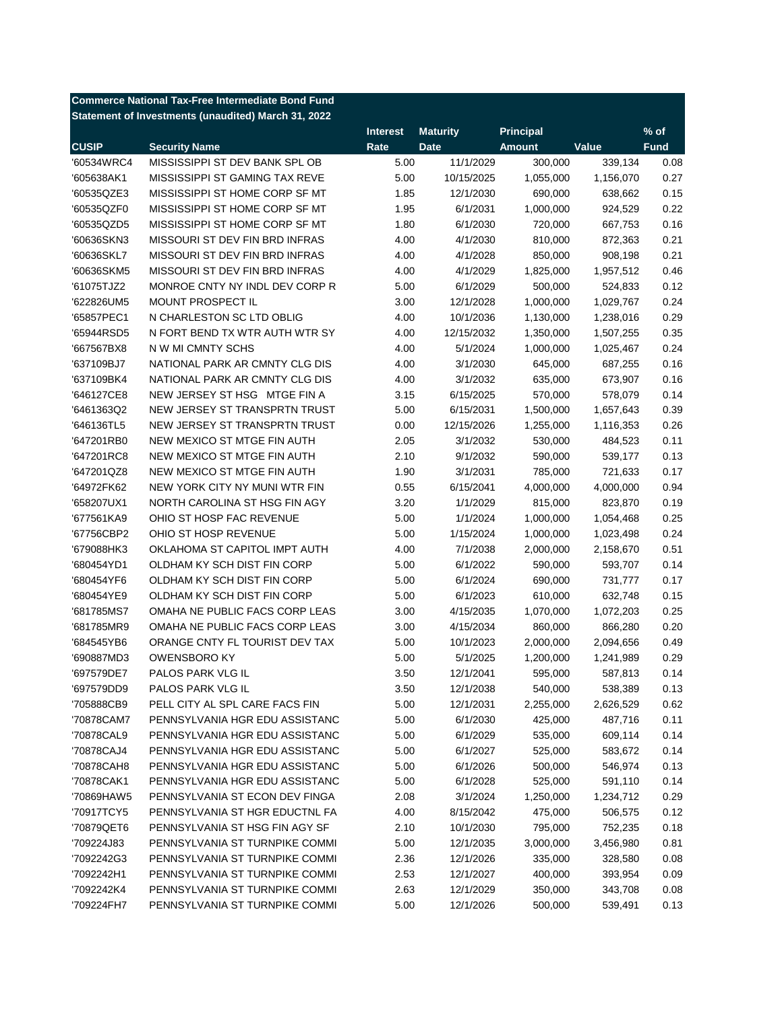| <b>Commerce National Tax-Free Intermediate Bond Fund</b> |                                                     |                 |                 |                  |           |             |  |  |
|----------------------------------------------------------|-----------------------------------------------------|-----------------|-----------------|------------------|-----------|-------------|--|--|
|                                                          | Statement of Investments (unaudited) March 31, 2022 |                 |                 |                  |           |             |  |  |
|                                                          |                                                     | <b>Interest</b> | <b>Maturity</b> | <b>Principal</b> |           | $%$ of      |  |  |
| <b>CUSIP</b>                                             | <b>Security Name</b>                                | Rate            | <b>Date</b>     | <b>Amount</b>    | Value     | <b>Fund</b> |  |  |
| '60534WRC4                                               | MISSISSIPPI ST DEV BANK SPL OB                      | 5.00            | 11/1/2029       | 300,000          | 339,134   | 0.08        |  |  |
| '605638AK1                                               | MISSISSIPPI ST GAMING TAX REVE                      | 5.00            | 10/15/2025      | 1,055,000        | 1,156,070 | 0.27        |  |  |
| '60535QZE3                                               | MISSISSIPPI ST HOME CORP SF MT                      | 1.85            | 12/1/2030       | 690,000          | 638,662   | 0.15        |  |  |
| '60535QZF0                                               | MISSISSIPPI ST HOME CORP SF MT                      | 1.95            | 6/1/2031        | 1,000,000        | 924,529   | 0.22        |  |  |
| '60535QZD5                                               | MISSISSIPPI ST HOME CORP SF MT                      | 1.80            | 6/1/2030        | 720,000          | 667,753   | 0.16        |  |  |
| '60636SKN3                                               | MISSOURI ST DEV FIN BRD INFRAS                      | 4.00            | 4/1/2030        | 810,000          | 872,363   | 0.21        |  |  |
| '60636SKL7                                               | MISSOURI ST DEV FIN BRD INFRAS                      | 4.00            | 4/1/2028        | 850,000          | 908,198   | 0.21        |  |  |
| '60636SKM5                                               | MISSOURI ST DEV FIN BRD INFRAS                      | 4.00            | 4/1/2029        | 1,825,000        | 1,957,512 | 0.46        |  |  |
| '61075TJZ2                                               | MONROE CNTY NY INDL DEV CORP R                      | 5.00            | 6/1/2029        | 500,000          | 524,833   | 0.12        |  |  |
| '622826UM5                                               | MOUNT PROSPECT IL                                   | 3.00            | 12/1/2028       | 1,000,000        | 1,029,767 | 0.24        |  |  |
| '65857PEC1                                               | N CHARLESTON SC LTD OBLIG                           | 4.00            | 10/1/2036       | 1,130,000        | 1,238,016 | 0.29        |  |  |
| '65944RSD5                                               | N FORT BEND TX WTR AUTH WTR SY                      | 4.00            | 12/15/2032      | 1,350,000        | 1,507,255 | 0.35        |  |  |
| '667567BX8                                               | N W MI CMNTY SCHS                                   | 4.00            | 5/1/2024        | 1,000,000        | 1,025,467 | 0.24        |  |  |
| '637109BJ7                                               | NATIONAL PARK AR CMNTY CLG DIS                      | 4.00            | 3/1/2030        | 645,000          | 687,255   | 0.16        |  |  |
| '637109BK4                                               | NATIONAL PARK AR CMNTY CLG DIS                      | 4.00            | 3/1/2032        | 635,000          | 673,907   | 0.16        |  |  |
| '646127CE8                                               | NEW JERSEY ST HSG MTGE FIN A                        | 3.15            | 6/15/2025       | 570,000          | 578,079   | 0.14        |  |  |
| '6461363Q2                                               | NEW JERSEY ST TRANSPRTN TRUST                       | 5.00            | 6/15/2031       | 1,500,000        | 1,657,643 | 0.39        |  |  |
| '646136TL5                                               | NEW JERSEY ST TRANSPRTN TRUST                       | 0.00            | 12/15/2026      | 1,255,000        | 1,116,353 | 0.26        |  |  |
| '647201RB0                                               | NEW MEXICO ST MTGE FIN AUTH                         | 2.05            | 3/1/2032        | 530,000          | 484,523   | 0.11        |  |  |
| '647201RC8                                               | NEW MEXICO ST MTGE FIN AUTH                         | 2.10            | 9/1/2032        | 590,000          | 539,177   | 0.13        |  |  |
| '647201QZ8                                               | NEW MEXICO ST MTGE FIN AUTH                         | 1.90            | 3/1/2031        | 785,000          | 721,633   | 0.17        |  |  |
| '64972FK62                                               | NEW YORK CITY NY MUNI WTR FIN                       | 0.55            | 6/15/2041       | 4,000,000        | 4,000,000 | 0.94        |  |  |
| '658207UX1                                               | NORTH CAROLINA ST HSG FIN AGY                       | 3.20            | 1/1/2029        | 815,000          | 823,870   | 0.19        |  |  |
| '677561KA9                                               | OHIO ST HOSP FAC REVENUE                            | 5.00            | 1/1/2024        | 1,000,000        | 1,054,468 | 0.25        |  |  |
| '67756CBP2                                               | OHIO ST HOSP REVENUE                                | 5.00            | 1/15/2024       | 1,000,000        | 1,023,498 | 0.24        |  |  |
| '679088HK3                                               | OKLAHOMA ST CAPITOL IMPT AUTH                       | 4.00            | 7/1/2038        | 2,000,000        | 2,158,670 | 0.51        |  |  |
| '680454YD1                                               | OLDHAM KY SCH DIST FIN CORP                         | 5.00            | 6/1/2022        | 590,000          | 593,707   | 0.14        |  |  |
| '680454YF6                                               | OLDHAM KY SCH DIST FIN CORP                         | 5.00            | 6/1/2024        | 690,000          | 731,777   | 0.17        |  |  |
| '680454YE9                                               | OLDHAM KY SCH DIST FIN CORP                         | 5.00            | 6/1/2023        | 610,000          | 632,748   | 0.15        |  |  |
| '681785MS7                                               | OMAHA NE PUBLIC FACS CORP LEAS                      | 3.00            | 4/15/2035       | 1,070,000        | 1,072,203 | 0.25        |  |  |
| '681785MR9                                               | OMAHA NE PUBLIC FACS CORP LEAS                      | 3.00            | 4/15/2034       | 860,000          | 866,280   | 0.20        |  |  |
| '684545YB6                                               | ORANGE CNTY FL TOURIST DEV TAX                      | 5.00            | 10/1/2023       | 2,000,000        | 2,094,656 | 0.49        |  |  |
| '690887MD3                                               | <b>OWENSBORO KY</b>                                 | 5.00            | 5/1/2025        | 1,200,000        | 1,241,989 | 0.29        |  |  |
| '697579DE7                                               | PALOS PARK VLG IL                                   | 3.50            | 12/1/2041       | 595,000          | 587,813   | 0.14        |  |  |
| '697579DD9                                               | PALOS PARK VLG IL                                   | 3.50            | 12/1/2038       | 540,000          | 538,389   | 0.13        |  |  |
| '705888CB9                                               | PELL CITY AL SPL CARE FACS FIN                      | 5.00            | 12/1/2031       | 2,255,000        | 2,626,529 | 0.62        |  |  |
| '70878CAM7                                               | PENNSYLVANIA HGR EDU ASSISTANC                      | 5.00            | 6/1/2030        | 425,000          | 487,716   | 0.11        |  |  |
| '70878CAL9                                               | PENNSYLVANIA HGR EDU ASSISTANC                      | 5.00            | 6/1/2029        | 535,000          | 609,114   | 0.14        |  |  |
| '70878CAJ4                                               | PENNSYLVANIA HGR EDU ASSISTANC                      | 5.00            | 6/1/2027        | 525,000          | 583,672   | 0.14        |  |  |
|                                                          | PENNSYLVANIA HGR EDU ASSISTANC                      |                 | 6/1/2026        | 500,000          |           |             |  |  |
| '70878CAH8                                               | PENNSYLVANIA HGR EDU ASSISTANC                      | 5.00            |                 |                  | 546,974   | 0.13        |  |  |
| '70878CAK1                                               |                                                     | 5.00            | 6/1/2028        | 525,000          | 591,110   | 0.14        |  |  |
| '70869HAW5                                               | PENNSYLVANIA ST ECON DEV FINGA                      | 2.08            | 3/1/2024        | 1,250,000        | 1,234,712 | 0.29        |  |  |
| '70917TCY5                                               | PENNSYLVANIA ST HGR EDUCTNL FA                      | 4.00            | 8/15/2042       | 475,000          | 506,575   | 0.12        |  |  |
| '70879QET6                                               | PENNSYLVANIA ST HSG FIN AGY SF                      | 2.10            | 10/1/2030       | 795,000          | 752,235   | 0.18        |  |  |
| '709224J83                                               | PENNSYLVANIA ST TURNPIKE COMMI                      | 5.00            | 12/1/2035       | 3,000,000        | 3,456,980 | 0.81        |  |  |
| '7092242G3                                               | PENNSYLVANIA ST TURNPIKE COMMI                      | 2.36            | 12/1/2026       | 335,000          | 328,580   | 0.08        |  |  |
| '7092242H1                                               | PENNSYLVANIA ST TURNPIKE COMMI                      | 2.53            | 12/1/2027       | 400,000          | 393,954   | 0.09        |  |  |
| '7092242K4                                               | PENNSYLVANIA ST TURNPIKE COMMI                      | 2.63            | 12/1/2029       | 350,000          | 343,708   | 0.08        |  |  |
| '709224FH7                                               | PENNSYLVANIA ST TURNPIKE COMMI                      | 5.00            | 12/1/2026       | 500,000          | 539,491   | 0.13        |  |  |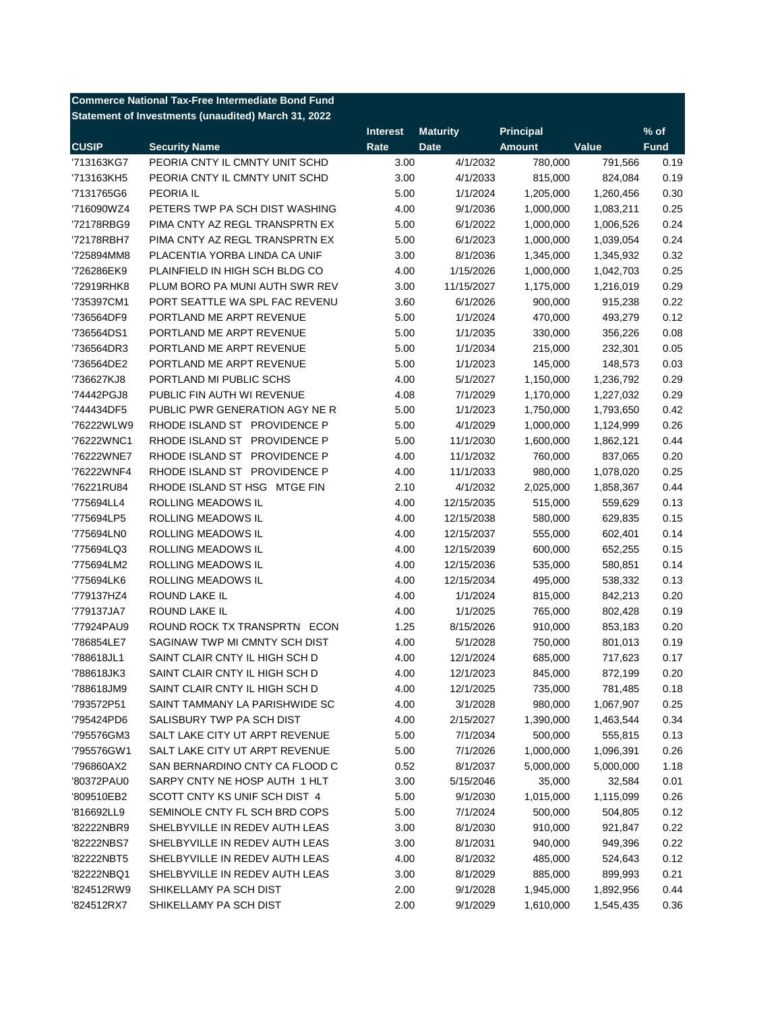| <b>Commerce National Tax-Free Intermediate Bond Fund</b> |                                                     |                 |                 |                  |           |             |  |  |
|----------------------------------------------------------|-----------------------------------------------------|-----------------|-----------------|------------------|-----------|-------------|--|--|
|                                                          | Statement of Investments (unaudited) March 31, 2022 |                 |                 |                  |           |             |  |  |
|                                                          |                                                     | <b>Interest</b> | <b>Maturity</b> | <b>Principal</b> |           | $%$ of      |  |  |
| <b>CUSIP</b>                                             | <b>Security Name</b>                                | Rate            | <b>Date</b>     | <b>Amount</b>    | Value     | <b>Fund</b> |  |  |
| '713163KG7                                               | PEORIA CNTY IL CMNTY UNIT SCHD                      | 3.00            | 4/1/2032        | 780,000          | 791,566   | 0.19        |  |  |
| '713163KH5                                               | PEORIA CNTY IL CMNTY UNIT SCHD                      | 3.00            | 4/1/2033        | 815,000          | 824,084   | 0.19        |  |  |
| '7131765G6                                               | PEORIA IL                                           | 5.00            | 1/1/2024        | 1,205,000        | 1,260,456 | 0.30        |  |  |
| '716090WZ4                                               | PETERS TWP PA SCH DIST WASHING                      | 4.00            | 9/1/2036        | 1,000,000        | 1,083,211 | 0.25        |  |  |
| '72178RBG9                                               | PIMA CNTY AZ REGL TRANSPRTN EX                      | 5.00            | 6/1/2022        | 1,000,000        | 1,006,526 | 0.24        |  |  |
| '72178RBH7                                               | PIMA CNTY AZ REGL TRANSPRTN EX                      | 5.00            | 6/1/2023        | 1,000,000        | 1,039,054 | 0.24        |  |  |
| '725894MM8                                               | PLACENTIA YORBA LINDA CA UNIF                       | 3.00            | 8/1/2036        | 1,345,000        | 1,345,932 | 0.32        |  |  |
| '726286EK9                                               | PLAINFIELD IN HIGH SCH BLDG CO                      | 4.00            | 1/15/2026       | 1,000,000        | 1,042,703 | 0.25        |  |  |
| '72919RHK8                                               | PLUM BORO PA MUNI AUTH SWR REV                      | 3.00            | 11/15/2027      | 1,175,000        | 1,216,019 | 0.29        |  |  |
| '735397CM1                                               | PORT SEATTLE WA SPL FAC REVENU                      | 3.60            | 6/1/2026        | 900,000          | 915,238   | 0.22        |  |  |
| '736564DF9                                               | PORTLAND ME ARPT REVENUE                            | 5.00            | 1/1/2024        | 470,000          | 493,279   | 0.12        |  |  |
| '736564DS1                                               | PORTLAND ME ARPT REVENUE                            | 5.00            | 1/1/2035        | 330,000          | 356,226   | 0.08        |  |  |
| '736564DR3                                               | PORTLAND ME ARPT REVENUE                            | 5.00            | 1/1/2034        | 215,000          | 232,301   | 0.05        |  |  |
| '736564DE2                                               | PORTLAND ME ARPT REVENUE                            | 5.00            | 1/1/2023        | 145,000          | 148,573   | 0.03        |  |  |
| '736627KJ8                                               | PORTLAND MI PUBLIC SCHS                             | 4.00            | 5/1/2027        | 1,150,000        | 1,236,792 | 0.29        |  |  |
| '74442PGJ8                                               | PUBLIC FIN AUTH WI REVENUE                          | 4.08            | 7/1/2029        | 1,170,000        | 1,227,032 | 0.29        |  |  |
| '744434DF5                                               | PUBLIC PWR GENERATION AGY NE R                      | 5.00            | 1/1/2023        | 1,750,000        | 1,793,650 | 0.42        |  |  |
| '76222WLW9                                               | RHODE ISLAND ST PROVIDENCE P                        | 5.00            | 4/1/2029        | 1,000,000        | 1,124,999 | 0.26        |  |  |
| '76222WNC1                                               | RHODE ISLAND ST PROVIDENCE P                        | 5.00            | 11/1/2030       | 1,600,000        | 1,862,121 | 0.44        |  |  |
| '76222WNE7                                               | RHODE ISLAND ST PROVIDENCE P                        | 4.00            | 11/1/2032       | 760,000          | 837,065   | 0.20        |  |  |
| '76222WNF4                                               | RHODE ISLAND ST PROVIDENCE P                        | 4.00            | 11/1/2033       | 980,000          | 1,078,020 | 0.25        |  |  |
| '76221RU84                                               | RHODE ISLAND ST HSG MTGE FIN                        | 2.10            | 4/1/2032        | 2,025,000        | 1,858,367 | 0.44        |  |  |
| '775694LL4                                               | ROLLING MEADOWS IL                                  | 4.00            | 12/15/2035      | 515,000          | 559,629   | 0.13        |  |  |
| '775694LP5                                               | ROLLING MEADOWS IL                                  | 4.00            | 12/15/2038      | 580,000          | 629,835   | 0.15        |  |  |
| '775694LN0                                               | ROLLING MEADOWS IL                                  | 4.00            | 12/15/2037      | 555,000          | 602,401   | 0.14        |  |  |
| '775694LQ3                                               | ROLLING MEADOWS IL                                  | 4.00            | 12/15/2039      | 600,000          | 652,255   | 0.15        |  |  |
| '775694LM2                                               | ROLLING MEADOWS IL                                  | 4.00            | 12/15/2036      | 535,000          | 580,851   | 0.14        |  |  |
| '775694LK6                                               | ROLLING MEADOWS IL                                  | 4.00            | 12/15/2034      | 495,000          | 538,332   | 0.13        |  |  |
| '779137HZ4                                               | ROUND LAKE IL                                       | 4.00            | 1/1/2024        | 815,000          | 842,213   | 0.20        |  |  |
| '779137JA7                                               | ROUND LAKE IL                                       | 4.00            | 1/1/2025        | 765,000          | 802,428   | 0.19        |  |  |
| '77924PAU9                                               | ROUND ROCK TX TRANSPRTN ECON                        | 1.25            | 8/15/2026       | 910,000          | 853,183   | 0.20        |  |  |
| '786854LE7                                               | SAGINAW TWP MI CMNTY SCH DIST                       | 4.00            | 5/1/2028        | 750,000          | 801,013   | 0.19        |  |  |
| '788618JL1                                               | SAINT CLAIR CNTY IL HIGH SCH D                      | 4.00            | 12/1/2024       | 685,000          | 717,623   | 0.17        |  |  |
| '788618JK3                                               | SAINT CLAIR CNTY IL HIGH SCH D                      | 4.00            | 12/1/2023       | 845,000          | 872,199   | 0.20        |  |  |
| '788618JM9                                               | SAINT CLAIR CNTY IL HIGH SCH D                      | 4.00            | 12/1/2025       | 735,000          | 781,485   | 0.18        |  |  |
| '793572P51                                               | SAINT TAMMANY LA PARISHWIDE SC                      | 4.00            | 3/1/2028        | 980,000          | 1,067,907 | 0.25        |  |  |
| '795424PD6                                               | SALISBURY TWP PA SCH DIST                           | 4.00            | 2/15/2027       | 1,390,000        | 1,463,544 | 0.34        |  |  |
| '795576GM3                                               | SALT LAKE CITY UT ARPT REVENUE                      | 5.00            | 7/1/2034        | 500,000          | 555,815   | 0.13        |  |  |
| '795576GW1                                               | SALT LAKE CITY UT ARPT REVENUE                      | 5.00            | 7/1/2026        | 1,000,000        | 1,096,391 | 0.26        |  |  |
| '796860AX2                                               | SAN BERNARDINO CNTY CA FLOOD C                      | 0.52            | 8/1/2037        | 5,000,000        | 5,000,000 | 1.18        |  |  |
| '80372PAU0                                               | SARPY CNTY NE HOSP AUTH 1 HLT                       | 3.00            | 5/15/2046       | 35,000           | 32,584    | 0.01        |  |  |
| '809510EB2                                               | SCOTT CNTY KS UNIF SCH DIST 4                       | 5.00            | 9/1/2030        | 1,015,000        | 1,115,099 | 0.26        |  |  |
| '816692LL9                                               | SEMINOLE CNTY FL SCH BRD COPS                       | 5.00            | 7/1/2024        | 500,000          | 504,805   | 0.12        |  |  |
| '82222NBR9                                               | SHELBYVILLE IN REDEV AUTH LEAS                      | 3.00            | 8/1/2030        | 910,000          | 921,847   | 0.22        |  |  |
| '82222NBS7                                               | SHELBYVILLE IN REDEV AUTH LEAS                      | 3.00            | 8/1/2031        | 940,000          | 949,396   | 0.22        |  |  |
| '82222NBT5                                               | SHELBYVILLE IN REDEV AUTH LEAS                      | 4.00            | 8/1/2032        | 485,000          | 524,643   | 0.12        |  |  |
| '82222NBQ1                                               | SHELBYVILLE IN REDEV AUTH LEAS                      | 3.00            | 8/1/2029        | 885,000          | 899,993   | 0.21        |  |  |
| '824512RW9                                               | SHIKELLAMY PA SCH DIST                              | 2.00            | 9/1/2028        | 1,945,000        | 1,892,956 | 0.44        |  |  |
| '824512RX7                                               | SHIKELLAMY PA SCH DIST                              | 2.00            | 9/1/2029        | 1,610,000        | 1,545,435 | 0.36        |  |  |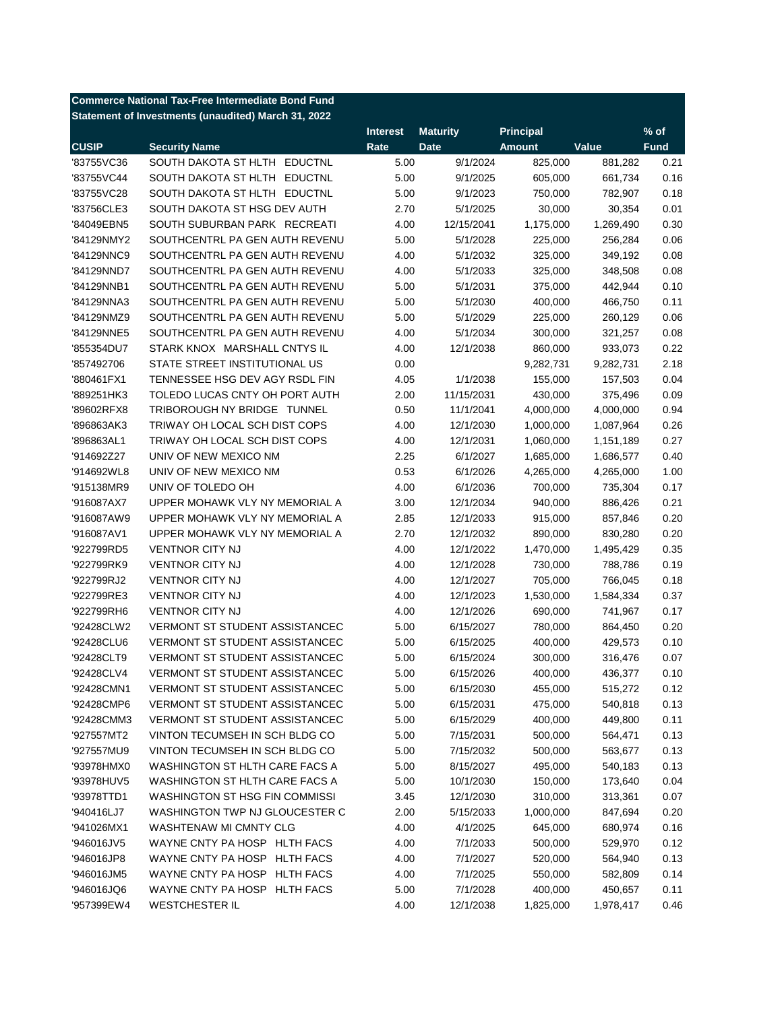| <b>Commerce National Tax-Free Intermediate Bond Fund</b> |                                                     |                 |                 |                  |           |             |  |
|----------------------------------------------------------|-----------------------------------------------------|-----------------|-----------------|------------------|-----------|-------------|--|
|                                                          | Statement of Investments (unaudited) March 31, 2022 |                 |                 |                  |           |             |  |
|                                                          |                                                     | <b>Interest</b> | <b>Maturity</b> | <b>Principal</b> |           | % of        |  |
| <b>CUSIP</b>                                             | <b>Security Name</b>                                | Rate            | <b>Date</b>     | <b>Amount</b>    | Value     | <b>Fund</b> |  |
| '83755VC36                                               | SOUTH DAKOTA ST HLTH EDUCTNL                        | 5.00            | 9/1/2024        | 825,000          | 881,282   | 0.21        |  |
| '83755VC44                                               | SOUTH DAKOTA ST HLTH EDUCTNL                        | 5.00            | 9/1/2025        | 605,000          | 661,734   | 0.16        |  |
| '83755VC28                                               | SOUTH DAKOTA ST HLTH EDUCTNL                        | 5.00            | 9/1/2023        | 750,000          | 782,907   | 0.18        |  |
| '83756CLE3                                               | SOUTH DAKOTA ST HSG DEV AUTH                        | 2.70            | 5/1/2025        | 30,000           | 30,354    | 0.01        |  |
| '84049EBN5                                               | SOUTH SUBURBAN PARK RECREATI                        | 4.00            | 12/15/2041      | 1,175,000        | 1,269,490 | 0.30        |  |
| '84129NMY2                                               | SOUTHCENTRL PA GEN AUTH REVENU                      | 5.00            | 5/1/2028        | 225,000          | 256,284   | 0.06        |  |
| '84129NNC9                                               | SOUTHCENTRL PA GEN AUTH REVENU                      | 4.00            | 5/1/2032        | 325,000          | 349,192   | 0.08        |  |
| '84129NND7                                               | SOUTHCENTRL PA GEN AUTH REVENU                      | 4.00            | 5/1/2033        | 325,000          | 348,508   | 0.08        |  |
| '84129NNB1                                               | SOUTHCENTRL PA GEN AUTH REVENU                      | 5.00            | 5/1/2031        | 375,000          | 442,944   | 0.10        |  |
| '84129NNA3                                               | SOUTHCENTRL PA GEN AUTH REVENU                      | 5.00            | 5/1/2030        | 400,000          | 466,750   | 0.11        |  |
| '84129NMZ9                                               | SOUTHCENTRL PA GEN AUTH REVENU                      | 5.00            | 5/1/2029        | 225,000          | 260,129   | 0.06        |  |
| '84129NNE5                                               | SOUTHCENTRL PA GEN AUTH REVENU                      | 4.00            | 5/1/2034        | 300,000          | 321,257   | 0.08        |  |
| '855354DU7                                               | STARK KNOX MARSHALL CNTYS IL                        | 4.00            | 12/1/2038       | 860,000          | 933,073   | 0.22        |  |
| '857492706                                               | STATE STREET INSTITUTIONAL US                       | 0.00            |                 | 9,282,731        | 9,282,731 | 2.18        |  |
| '880461FX1                                               | TENNESSEE HSG DEV AGY RSDL FIN                      | 4.05            | 1/1/2038        | 155,000          | 157,503   | 0.04        |  |
| '889251HK3                                               | TOLEDO LUCAS CNTY OH PORT AUTH                      | 2.00            | 11/15/2031      | 430,000          | 375,496   | 0.09        |  |
| '89602RFX8                                               | TRIBOROUGH NY BRIDGE TUNNEL                         | 0.50            | 11/1/2041       | 4,000,000        | 4,000,000 | 0.94        |  |
| '896863AK3                                               | TRIWAY OH LOCAL SCH DIST COPS                       | 4.00            | 12/1/2030       | 1,000,000        | 1,087,964 | 0.26        |  |
| '896863AL1                                               | TRIWAY OH LOCAL SCH DIST COPS                       | 4.00            | 12/1/2031       | 1,060,000        | 1,151,189 | 0.27        |  |
| '914692Z27                                               | UNIV OF NEW MEXICO NM                               | 2.25            | 6/1/2027        | 1,685,000        | 1,686,577 | 0.40        |  |
| '914692WL8                                               | UNIV OF NEW MEXICO NM                               | 0.53            | 6/1/2026        | 4,265,000        | 4,265,000 | 1.00        |  |
| '915138MR9                                               | UNIV OF TOLEDO OH                                   | 4.00            | 6/1/2036        | 700,000          | 735,304   | 0.17        |  |
| '916087AX7                                               | UPPER MOHAWK VLY NY MEMORIAL A                      | 3.00            | 12/1/2034       | 940,000          | 886,426   | 0.21        |  |
| '916087AW9                                               | UPPER MOHAWK VLY NY MEMORIAL A                      | 2.85            | 12/1/2033       | 915,000          | 857,846   | 0.20        |  |
| '916087AV1                                               | UPPER MOHAWK VLY NY MEMORIAL A                      | 2.70            | 12/1/2032       | 890,000          | 830,280   | 0.20        |  |
| '922799RD5                                               | <b>VENTNOR CITY NJ</b>                              | 4.00            | 12/1/2022       | 1,470,000        | 1,495,429 | 0.35        |  |
| '922799RK9                                               | <b>VENTNOR CITY NJ</b>                              | 4.00            | 12/1/2028       | 730,000          | 788,786   | 0.19        |  |
| '922799RJ2                                               | <b>VENTNOR CITY NJ</b>                              | 4.00            | 12/1/2027       | 705,000          | 766,045   | 0.18        |  |
| '922799RE3                                               | <b>VENTNOR CITY NJ</b>                              | 4.00            | 12/1/2023       | 1,530,000        | 1,584,334 | 0.37        |  |
| '922799RH6                                               | <b>VENTNOR CITY NJ</b>                              | 4.00            | 12/1/2026       | 690,000          | 741,967   | 0.17        |  |
| '92428CLW2                                               | <b>VERMONT ST STUDENT ASSISTANCEC</b>               | 5.00            | 6/15/2027       | 780,000          | 864,450   | 0.20        |  |
| '92428CLU6                                               | <b>VERMONT ST STUDENT ASSISTANCEC</b>               | 5.00            | 6/15/2025       | 400,000          | 429,573   | 0.10        |  |
| '92428CLT9                                               | <b>VERMONT ST STUDENT ASSISTANCEC</b>               | 5.00            | 6/15/2024       | 300,000          | 316,476   | 0.07        |  |
| '92428CLV4                                               | VERMONT ST STUDENT ASSISTANCEC                      | 5.00            | 6/15/2026       | 400,000          | 436,377   | 0.10        |  |
| '92428CMN1                                               | <b>VERMONT ST STUDENT ASSISTANCEC</b>               | 5.00            | 6/15/2030       | 455,000          | 515,272   | 0.12        |  |
| '92428CMP6                                               | <b>VERMONT ST STUDENT ASSISTANCEC</b>               | 5.00            | 6/15/2031       | 475,000          | 540,818   | 0.13        |  |
| '92428CMM3                                               | <b>VERMONT ST STUDENT ASSISTANCEC</b>               | 5.00            | 6/15/2029       | 400,000          | 449,800   | 0.11        |  |
| '927557MT2                                               | VINTON TECUMSEH IN SCH BLDG CO                      | 5.00            | 7/15/2031       | 500,000          | 564,471   | 0.13        |  |
| '927557MU9                                               | VINTON TECUMSEH IN SCH BLDG CO                      | 5.00            | 7/15/2032       | 500,000          | 563,677   | 0.13        |  |
| '93978HMX0                                               | WASHINGTON ST HLTH CARE FACS A                      | 5.00            | 8/15/2027       | 495,000          | 540,183   | 0.13        |  |
| '93978HUV5                                               | WASHINGTON ST HLTH CARE FACS A                      | 5.00            | 10/1/2030       | 150,000          | 173,640   | 0.04        |  |
| '93978TTD1                                               | <b>WASHINGTON ST HSG FIN COMMISSI</b>               | 3.45            | 12/1/2030       | 310,000          | 313,361   | 0.07        |  |
| '940416LJ7                                               | WASHINGTON TWP NJ GLOUCESTER C                      | 2.00            | 5/15/2033       | 1,000,000        | 847,694   | 0.20        |  |
| '941026MX1                                               | WASHTENAW MI CMNTY CLG                              | 4.00            | 4/1/2025        | 645,000          | 680,974   | 0.16        |  |
| '946016JV5                                               | WAYNE CNTY PA HOSP HLTH FACS                        | 4.00            | 7/1/2033        | 500,000          | 529,970   | 0.12        |  |
| '946016JP8                                               | WAYNE CNTY PA HOSP HLTH FACS                        | 4.00            | 7/1/2027        | 520,000          | 564,940   | 0.13        |  |
| '946016JM5                                               | WAYNE CNTY PA HOSP HLTH FACS                        | 4.00            | 7/1/2025        | 550,000          | 582,809   | 0.14        |  |
| '946016JQ6                                               | WAYNE CNTY PA HOSP HLTH FACS                        | 5.00            | 7/1/2028        | 400,000          | 450,657   | 0.11        |  |
| '957399EW4                                               | <b>WESTCHESTER IL</b>                               | 4.00            | 12/1/2038       | 1,825,000        | 1,978,417 | 0.46        |  |